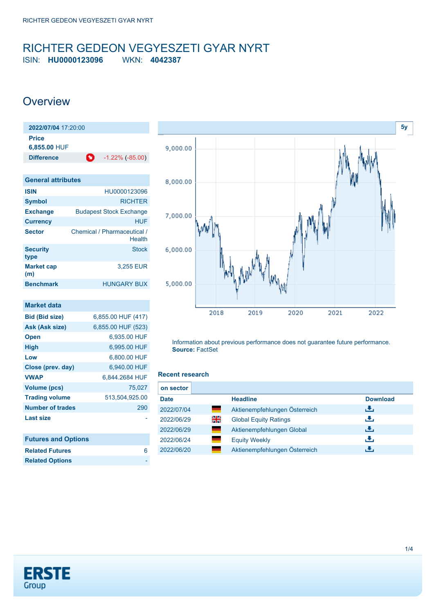### <span id="page-0-0"></span>RICHTER GEDEON VEGYESZETI GYAR NYRT ISIN: **HU0000123096** WKN: **4042387**

## **Overview**



| <b>General attributes</b> |                                       |  |
|---------------------------|---------------------------------------|--|
| <b>ISIN</b>               | HU0000123096                          |  |
| <b>Symbol</b>             | <b>RICHTER</b>                        |  |
| <b>Exchange</b>           | <b>Budapest Stock Exchange</b>        |  |
| <b>Currency</b>           | HUF                                   |  |
| <b>Sector</b>             | Chemical / Pharmaceutical /<br>Health |  |
| <b>Security</b><br>type   | <b>Stock</b>                          |  |
| <b>Market cap</b><br>(m)  | 3.255 EUR                             |  |
| <b>Benchmark</b>          | <b>HUNGARY BUX</b>                    |  |

| <b>Market data</b>         |                    |
|----------------------------|--------------------|
| <b>Bid (Bid size)</b>      | 6,855.00 HUF (417) |
| Ask (Ask size)             | 6,855.00 HUF (523) |
| <b>Open</b>                | 6.935.00 HUF       |
| <b>High</b>                | 6,995.00 HUF       |
| Low                        | 6,800.00 HUF       |
| Close (prev. day)          | 6.940.00 HUF       |
| <b>VWAP</b>                | 6.844.2684 HUF     |
| Volume (pcs)               | 75.027             |
| <b>Trading volume</b>      | 513,504,925.00     |
| <b>Number of trades</b>    | 290                |
| <b>Last size</b>           |                    |
|                            |                    |
| <b>Futures and Options</b> |                    |

**Related Futures** [6](https://de.products.erstegroup.com/CorporateClients/en/Dispatcher/SearchDispatcher/Market/future/index.phtml?ID_INSTRUMENT_CLASS_FUTURE=16360547)



Information about previous performance does not guarantee future performance. **Source:** FactSet

#### **Recent research**

| on sector   |   |                               |                 |
|-------------|---|-------------------------------|-----------------|
| <b>Date</b> |   | <b>Headline</b>               | <b>Download</b> |
| 2022/07/04  |   | Aktienempfehlungen Österreich | ريل             |
| 2022/06/29  | 읡 | <b>Global Equity Ratings</b>  | J.              |
| 2022/06/29  |   | Aktienempfehlungen Global     | æ,              |
| 2022/06/24  |   | <b>Equity Weekly</b>          | J.              |
| 2022/06/20  |   | Aktienempfehlungen Österreich | æ.              |



**Related Options**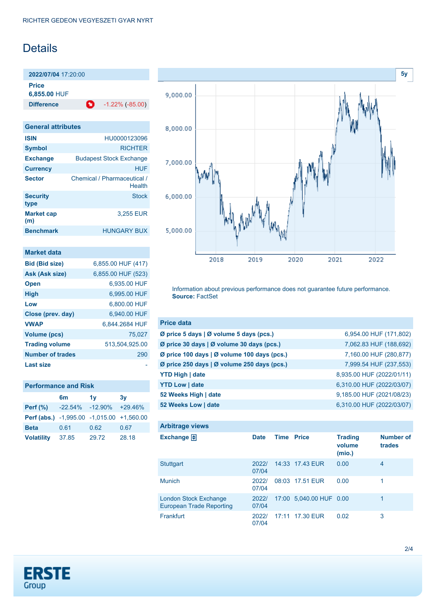## Details

**2022/07/04** 17:20:00 **Price**

**6,855.00** HUF

**Difference 1.22% (-85.00)** 

**General attributes ISIN** HU0000123096 **Symbol** RICHTER **Exchange** Budapest Stock Exchange

| <b>Currency</b>          | HUF                                   |
|--------------------------|---------------------------------------|
| <b>Sector</b>            | Chemical / Pharmaceutical /<br>Health |
| <b>Security</b><br>type  | Stock                                 |
| <b>Market cap</b><br>(m) | 3.255 EUR                             |
| <b>Benchmark</b>         | <b>HUNGARY BUX</b>                    |

| <b>Market data</b>      |                    |
|-------------------------|--------------------|
| <b>Bid (Bid size)</b>   | 6,855.00 HUF (417) |
| Ask (Ask size)          | 6,855.00 HUF (523) |
| <b>Open</b>             | 6,935.00 HUF       |
| <b>High</b>             | 6,995.00 HUF       |
| Low                     | 6,800.00 HUF       |
| Close (prev. day)       | 6,940.00 HUF       |
| <b>VWAP</b>             | 6.844.2684 HUF     |
| <b>Volume (pcs)</b>     | 75.027             |
| <b>Trading volume</b>   | 513,504,925.00     |
| <b>Number of trades</b> | 290                |
| Last size               |                    |

| <b>Performance and Risk</b>               |                |       |       |  |
|-------------------------------------------|----------------|-------|-------|--|
|                                           | 6 <sub>m</sub> | 1v    | 3v    |  |
| Perf (%) -22.54% -12.90% +29.46%          |                |       |       |  |
| Perf (abs.) -1,995.00 -1,015.00 +1,560.00 |                |       |       |  |
| <b>Beta</b>                               | 0.61           | 0.62  | 0.67  |  |
| <b>Volatility</b>                         | 37.85          | 29.72 | 28.18 |  |



Information about previous performance does not guarantee future performance. **Source:** FactSet

| <b>Price data</b>                           |                           |
|---------------------------------------------|---------------------------|
| Ø price 5 days   Ø volume 5 days (pcs.)     | 6,954.00 HUF (171,802)    |
| Ø price 30 days   Ø volume 30 days (pcs.)   | 7,062.83 HUF (188,692)    |
| Ø price 100 days   Ø volume 100 days (pcs.) | 7,160.00 HUF (280,877)    |
| Ø price 250 days   Ø volume 250 days (pcs.) | 7,999.54 HUF (237,553)    |
| <b>YTD High   date</b>                      | 8,935.00 HUF (2022/01/11) |
| <b>YTD Low   date</b>                       | 6,310.00 HUF (2022/03/07) |
| 52 Weeks High   date                        | 9,185.00 HUF (2021/08/23) |
| 52 Weeks Low   date                         | 6,310.00 HUF (2022/03/07) |

| <b>Arbitrage views</b>                                   |                |             |                         |                                    |                     |
|----------------------------------------------------------|----------------|-------------|-------------------------|------------------------------------|---------------------|
| Exchange $\bigoplus$                                     | <b>Date</b>    | <b>Time</b> | <b>Price</b>            | <b>Trading</b><br>volume<br>(mio.) | Number of<br>trades |
| <b>Stuttgart</b>                                         | 2022/<br>07/04 |             | 14:33 17.43 EUR         | 0.00                               | 4                   |
| <b>Munich</b>                                            | 2022/<br>07/04 |             | 08:03 17.51 EUR         | 0.00                               | 1                   |
| London Stock Exchange<br><b>European Trade Reporting</b> | 2022/<br>07/04 |             | 17:00 5.040.00 HUF 0.00 |                                    | 1                   |
| Frankfurt                                                | 2022/<br>07/04 | 17:11       | 17.30 EUR               | 0.02                               | 3                   |

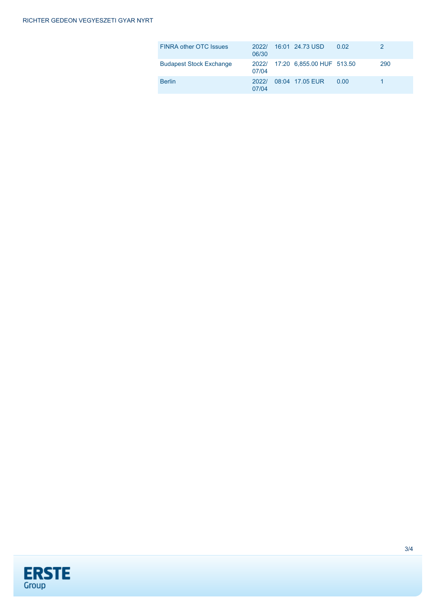| <b>FINRA other OTC Issues</b>  | 2022/<br>06/30 | 16:01 24.73 USD                 | 0.02 |     |
|--------------------------------|----------------|---------------------------------|------|-----|
| <b>Budapest Stock Exchange</b> | 07/04          | 2022/ 17:20 6.855.00 HUF 513.50 |      | 290 |
| <b>Berlin</b>                  | 20221<br>07/04 | 08:04 17.05 EUR                 | 0.00 |     |